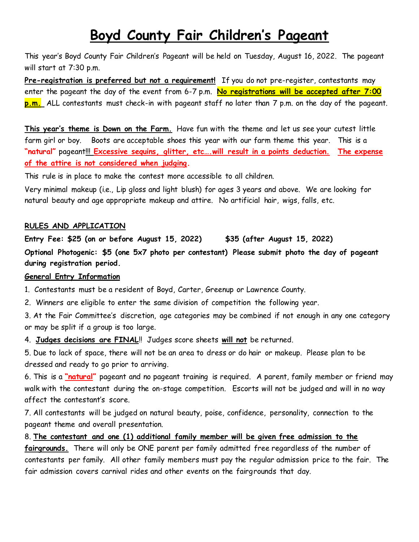# **Boyd County Fair Children's Pageant**

This year's Boyd County Fair Children's Pageant will be held on Tuesday, August 16, 2022. The pageant will start at 7:30 p.m.

**Pre-registration is preferred but not a requirement!** If you do not pre-register, contestants may enter the pageant the day of the event from 6-7 p.m. **No registrations will be accepted after 7:00 p.m.** ALL contestants must check-in with pageant staff no later than 7 p.m. on the day of the pageant.

**This year's theme is Down on the Farm.** Have fun with the theme and let us see your cutest little farm girl or boy. Boots are acceptable shoes this year with our farm theme this year. This is a **"natural"** pageant!!! **Excessive sequins, glitter, etc….will result in a points deduction. The expense of the attire is not considered when judging.**

This rule is in place to make the contest more accessible to all children.

Very minimal makeup (i.e., Lip gloss and light blush) for ages 3 years and above. We are looking for natural beauty and age appropriate makeup and attire. No artificial hair, wigs, falls, etc.

## **RULES AND APPLICATION**

**Entry Fee: \$25 (on or before August 15, 2022) \$35 (after August 15, 2022) Optional Photogenic: \$5 (one 5x7 photo per contestant) Please submit photo the day of pageant during registration period.** 

#### **General Entry Information**

1. Contestants must be a resident of Boyd, Carter, Greenup or Lawrence County.

2. Winners are eligible to enter the same division of competition the following year.

3. At the Fair Committee's discretion, age categories may be combined if not enough in any one category or may be split if a group is too large.

4. **Judges decisions are FINAL**!! Judges score sheets **will not** be returned.

5. Due to lack of space, there will not be an area to dress or do hair or makeup. Please plan to be dressed and ready to go prior to arriving.

6. This is a **"natural"** pageant and no pageant training is required. A parent, family member or friend may walk with the contestant during the on-stage competition. Escorts will not be judged and will in no way affect the contestant's score.

7. All contestants will be judged on natural beauty, poise, confidence, personality, connection to the pageant theme and overall presentation.

8. **The contestant and one (1) additional family member will be given free admission to the fairgrounds.** There will only be ONE parent per family admitted free regardless of the number of contestants per family. All other family members must pay the regular admission price to the fair. The fair admission covers carnival rides and other events on the fairgrounds that day.